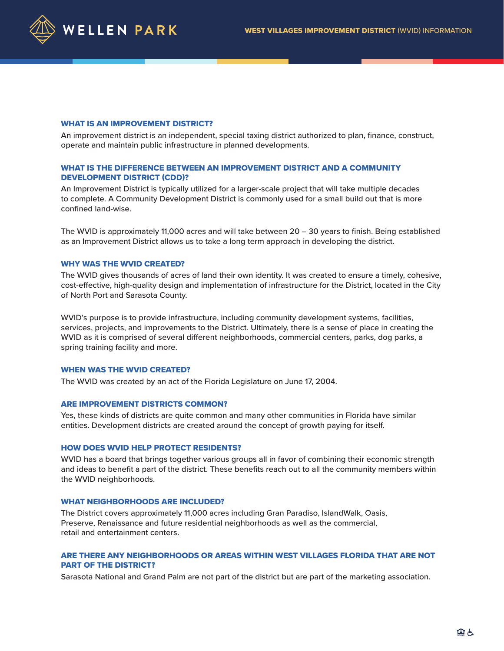

#### WHAT IS AN IMPROVEMENT DISTRICT?

An improvement district is an independent, special taxing district authorized to plan, finance, construct, operate and maintain public infrastructure in planned developments.

# WHAT IS THE DIFFERENCE BETWEEN AN IMPROVEMENT DISTRICT AND A COMMUNITY DEVELOPMENT DISTRICT (CDD)?

An Improvement District is typically utilized for a larger-scale project that will take multiple decades to complete. A Community Development District is commonly used for a small build out that is more confined land-wise.

The WVID is approximately 11,000 acres and will take between 20 – 30 years to finish. Being established as an Improvement District allows us to take a long term approach in developing the district.

#### WHY WAS THE WVID CREATED?

The WVID gives thousands of acres of land their own identity. It was created to ensure a timely, cohesive, cost-effective, high-quality design and implementation of infrastructure for the District, located in the City of North Port and Sarasota County.

WVID's purpose is to provide infrastructure, including community development systems, facilities, services, projects, and improvements to the District. Ultimately, there is a sense of place in creating the WVID as it is comprised of several different neighborhoods, commercial centers, parks, dog parks, a spring training facility and more.

# WHEN WAS THE WVID CREATED?

The WVID was created by an act of the Florida Legislature on June 17, 2004.

### ARE IMPROVEMENT DISTRICTS COMMON?

Yes, these kinds of districts are quite common and many other communities in Florida have similar entities. Development districts are created around the concept of growth paying for itself.

## HOW DOES WVID HELP PROTECT RESIDENTS?

WVID has a board that brings together various groups all in favor of combining their economic strength and ideas to benefit a part of the district. These benefits reach out to all the community members within the WVID neighborhoods.

### WHAT NEIGHBORHOODS ARE INCLUDED?

The District covers approximately 11,000 acres including Gran Paradiso, IslandWalk, Oasis, Preserve, Renaissance and future residential neighborhoods as well as the commercial, retail and entertainment centers.

# ARE THERE ANY NEIGHBORHOODS OR AREAS WITHIN WEST VILLAGES FLORIDA THAT ARE NOT PART OF THE DISTRICT?

Sarasota National and Grand Palm are not part of the district but are part of the marketing association.